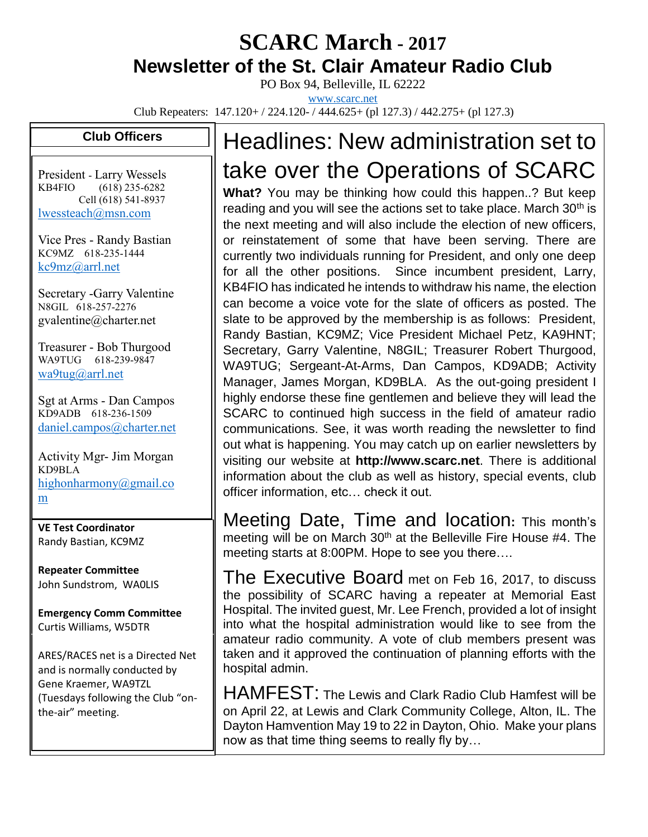### **SCARC March - <sup>2017</sup> Newsletter of the St. Clair Amateur Radio Club**

PO Box 94, Belleville, IL 62222 [www.scarc.net](http://www.scarc.net/)

Club Repeaters: 147.120+ / 224.120- / 444.625+ (pl 127.3) / 442.275+ (pl 127.3)

#### **Club Officers**

President - Larry Wessels KB4FIO (618) 235-6282 Cell (618) 541-8937 [lwessteach@msn.com](mailto:lwessteach@msn.com)

Vice Pres - Randy Bastian KC9MZ 618-235-1444 [kc9mz@arrl.net](mailto:kc9mz@arrl.net)

Secretary -Garry Valentine N8GIL 618-257-2276 gvalentine@charter.net

Treasurer - Bob Thurgood WA9TUG 618-239-9847 [wa9tug@arrl.net](mailto:wa9tug@arrl.net)

Sgt at Arms - Dan Campos KD9ADB 618-236-1509 [daniel.campos@charter.net](mailto:daniel.campos@charter.net)

Activity Mgr- Jim Morgan KD9BLA [highonharmony@gmail.co](mailto:highonharmony@gmail.com) [m](mailto:highonharmony@gmail.com)

**VE Test Coordinator** Randy Bastian, KC9MZ

**Repeater Committee** John Sundstrom, WA0LIS

**Emergency Comm Committee** Curtis Williams, W5DTR

ARES/RACES net is a Directed Net and is normally conducted by Gene Kraemer, WA9TZL (Tuesdays following the Club "onthe-air" meeting.

# Headlines: New administration set to take over the Operations of SCARC

**What?** You may be thinking how could this happen..? But keep reading and you will see the actions set to take place. March 30<sup>th</sup> is the next meeting and will also include the election of new officers, or reinstatement of some that have been serving. There are currently two individuals running for President, and only one deep for all the other positions. Since incumbent president, Larry, KB4FIO has indicated he intends to withdraw his name, the election can become a voice vote for the slate of officers as posted. The slate to be approved by the membership is as follows: President, Randy Bastian, KC9MZ; Vice President Michael Petz, KA9HNT; Secretary, Garry Valentine, N8GIL; Treasurer Robert Thurgood, WA9TUG; Sergeant-At-Arms, Dan Campos, KD9ADB; Activity Manager, James Morgan, KD9BLA. As the out-going president I highly endorse these fine gentlemen and believe they will lead the SCARC to continued high success in the field of amateur radio communications. See, it was worth reading the newsletter to find out what is happening. You may catch up on earlier newsletters by visiting our website at **http://www.scarc.net**. There is additional information about the club as well as history, special events, club officer information, etc… check it out.

Meeting Date, Time and location**:** This month's meeting will be on March  $30<sup>th</sup>$  at the Belleville Fire House #4. The meeting starts at 8:00PM. Hope to see you there….

The Executive Board met on Feb 16, 2017, to discuss the possibility of SCARC having a repeater at Memorial East Hospital. The invited guest, Mr. Lee French, provided a lot of insight into what the hospital administration would like to see from the amateur radio community. A vote of club members present was taken and it approved the continuation of planning efforts with the hospital admin.

HAMFEST: The Lewis and Clark Radio Club Hamfest will be on April 22, at Lewis and Clark Community College, Alton, IL. The Dayton Hamvention May 19 to 22 in Dayton, Ohio. Make your plans now as that time thing seems to really fly by…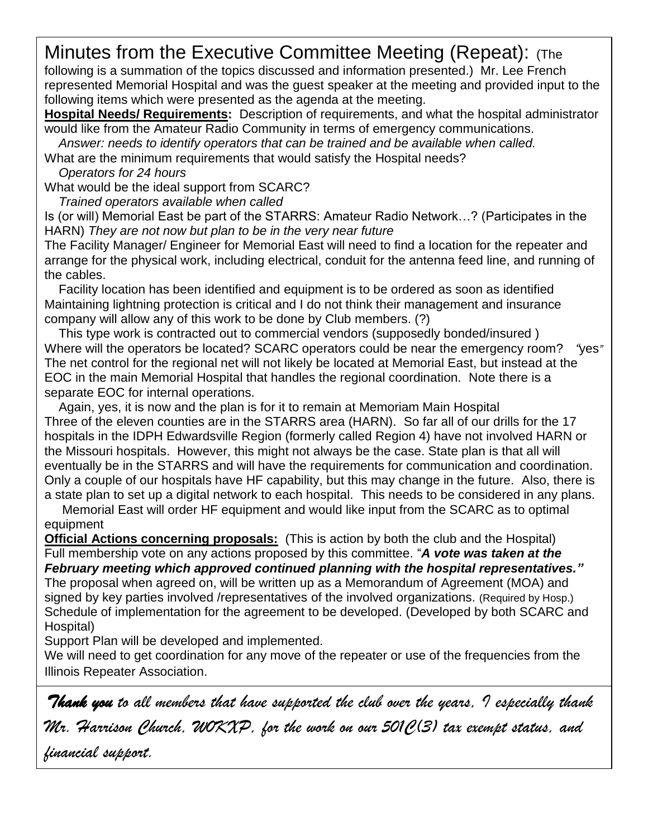## Minutes from the Executive Committee Meeting (Repeat): (The

following is a summation of the topics discussed and information presented.) Mr. Lee French represented Memorial Hospital and was the guest speaker at the meeting and provided input to the following items which were presented as the agenda at the meeting.

**Hospital Needs/ Requirements:** Description of requirements, and what the hospital administrator would like from the Amateur Radio Community in terms of emergency communications.

*Answer: needs to identify operators that can be trained and be available when called.*

What are the minimum requirements that would satisfy the Hospital needs?

*Operators for 24 hours*

What would be the ideal support from SCARC?

*Trained operators available when called* 

Is (or will) Memorial East be part of the STARRS: Amateur Radio Network…? (Participates in the HARN) *They are not now but plan to be in the very near future*

The Facility Manager/ Engineer for Memorial East will need to find a location for the repeater and arrange for the physical work, including electrical, conduit for the antenna feed line, and running of the cables.

 *Facility location has been identified and equipment is to be ordered as soon as identified* Maintaining lightning protection is critical and I do not think their management and insurance company will allow any of this work to be done by Club members. (?)

 *This type work is contracted out to commercial vendors (supposedly bonded/insured )* Where will the operators be located? SCARC operators could be near the emergency room? *"yes"* The net control for the regional net will not likely be located at Memorial East, but instead at the EOC in the main Memorial Hospital that handles the regional coordination. Note there is a separate EOC for internal operations.

 *Again, yes, it is now and the plan is for it to remain at Memoriam Main Hospital* Three of the eleven counties are in the STARRS area (HARN). So far all of our drills for the 17 hospitals in the IDPH Edwardsville Region (formerly called Region 4) have not involved HARN or the Missouri hospitals. However, this might not always be the case. *State plan is that all will eventually be in the STARRS and will have the requirements for communication and coordination.* Only a couple of our hospitals have HF capability, but this may change in the future. Also, there is a state plan to set up a digital network to each hospital. This needs to be considered in any plans.

 *Memorial East will order HF equipment and would like input from the SCARC as to optimal equipment*

**Official Actions concerning proposals:** (This is action by both the club and the Hospital) Full membership vote on any actions proposed by this committee. "*A vote was taken at the February meeting which approved continued planning with the hospital representatives."* The proposal when agreed on, will be written up as a Memorandum of Agreement (MOA) and signed by key parties involved /representatives of the involved organizations. (Required by Hosp.) Schedule of implementation for the agreement to be developed. (Developed by both SCARC and Hospital)

Support Plan will be developed and implemented.

We will need to get coordination for any move of the repeater or use of the frequencies from the Illinois Repeater Association.

*Thank you to all members that have supported the club over the years, I especially thank Mr. Harrison Church, W0KXP, for the work on our 501C(3) tax exempt status, and financial support.*